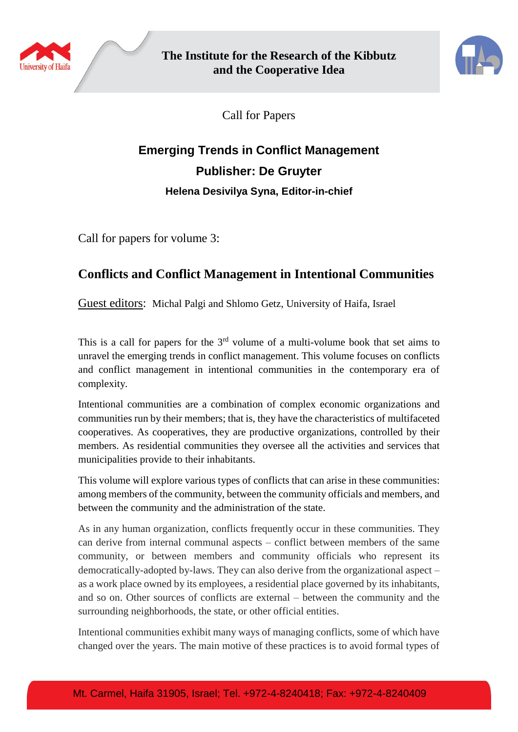



Call for Papers

## **Emerging Trends in Conflict Management Publisher: De Gruyter Helena Desivilya Syna, Editor-in-chief**

Call for papers for volume 3:

## **Conflicts and Conflict Management in Intentional Communities**

Guest editors: Michal Palgi and Shlomo Getz, University of Haifa, Israel

This is a call for papers for the  $3<sup>rd</sup>$  volume of a multi-volume book that set aims to unravel the emerging trends in conflict management. This volume focuses on conflicts and conflict management in intentional communities in the contemporary era of complexity.

Intentional communities are a combination of complex economic organizations and communities run by their members; that is, they have the characteristics of multifaceted cooperatives. As cooperatives, they are productive organizations, controlled by their members. As residential communities they oversee all the activities and services that municipalities provide to their inhabitants.

This volume will explore various types of conflicts that can arise in these communities: among members of the community, between the community officials and members, and between the community and the administration of the state.

As in any human organization, conflicts frequently occur in these communities. They can derive from internal communal aspects – conflict between members of the same community, or between members and community officials who represent its democratically-adopted by-laws. They can also derive from the organizational aspect – as a work place owned by its employees, a residential place governed by its inhabitants, and so on. Other sources of conflicts are external – between the community and the surrounding neighborhoods, the state, or other official entities.

Intentional communities exhibit many ways of managing conflicts, some of which have changed over the years. The main motive of these practices is to avoid formal types of